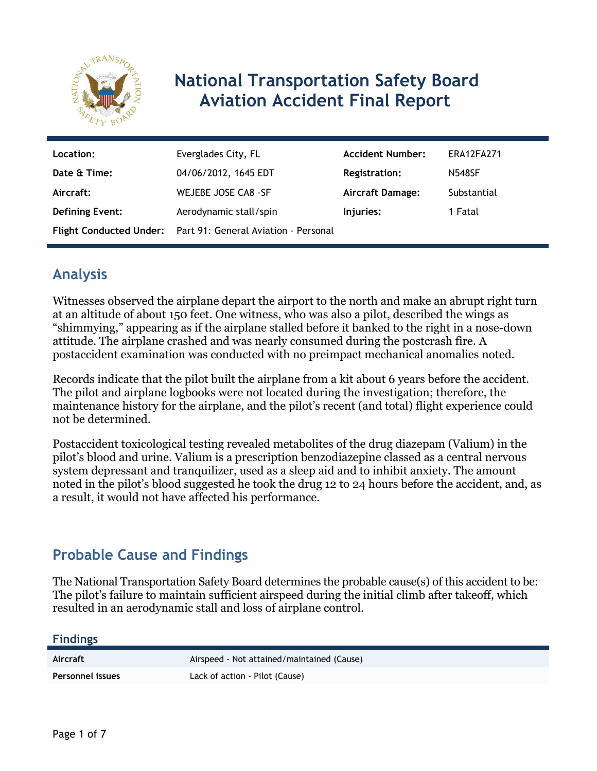

# **National Transportation Safety Board Aviation Accident Final Report**

| Location:              | Everglades City, FL                                          | <b>Accident Number:</b> | ERA12FA271    |
|------------------------|--------------------------------------------------------------|-------------------------|---------------|
| Date & Time:           | 04/06/2012, 1645 EDT                                         | <b>Registration:</b>    | <b>N548SF</b> |
| Aircraft:              | WEJEBE JOSE CA8 -SF                                          | <b>Aircraft Damage:</b> | Substantial   |
| <b>Defining Event:</b> | Aerodynamic stall/spin                                       | Injuries:               | 1 Fatal       |
|                        | Flight Conducted Under: Part 91: General Aviation - Personal |                         |               |

# **Analysis**

Witnesses observed the airplane depart the airport to the north and make an abrupt right turn at an altitude of about 150 feet. One witness, who was also a pilot, described the wings as "shimmying," appearing as if the airplane stalled before it banked to the right in a nose-down attitude. The airplane crashed and was nearly consumed during the postcrash fire. A postaccident examination was conducted with no preimpact mechanical anomalies noted.

Records indicate that the pilot built the airplane from a kit about 6 years before the accident. The pilot and airplane logbooks were not located during the investigation; therefore, the maintenance history for the airplane, and the pilot's recent (and total) flight experience could not be determined.

Postaccident toxicological testing revealed metabolites of the drug diazepam (Valium) in the pilot's blood and urine. Valium is a prescription benzodiazepine classed as a central nervous system depressant and tranquilizer, used as a sleep aid and to inhibit anxiety. The amount noted in the pilot's blood suggested he took the drug 12 to 24 hours before the accident, and, as a result, it would not have affected his performance.

# **Probable Cause and Findings**

The National Transportation Safety Board determines the probable cause(s) of this accident to be: The pilot's failure to maintain sufficient airspeed during the initial climb after takeoff, which resulted in an aerodynamic stall and loss of airplane control.

**Findings**

Aircraft **Aircraft** Airspeed - Not attained/maintained (Cause) **Personnel issues** Lack of action - Pilot (Cause)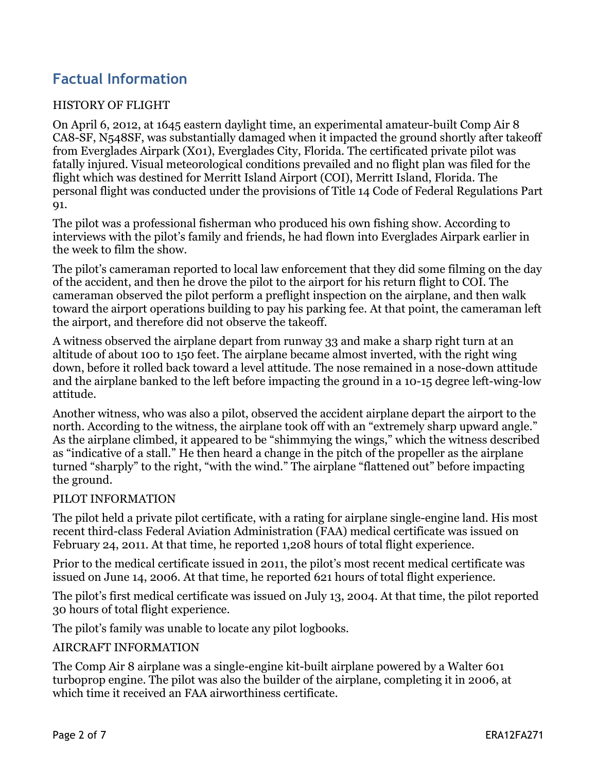# **Factual Information**

#### HISTORY OF FLIGHT

On April 6, 2012, at 1645 eastern daylight time, an experimental amateur-built Comp Air 8 CA8-SF, N548SF, was substantially damaged when it impacted the ground shortly after takeoff from Everglades Airpark (X01), Everglades City, Florida. The certificated private pilot was fatally injured. Visual meteorological conditions prevailed and no flight plan was filed for the flight which was destined for Merritt Island Airport (COI), Merritt Island, Florida. The personal flight was conducted under the provisions of Title 14 Code of Federal Regulations Part 91.

The pilot was a professional fisherman who produced his own fishing show. According to interviews with the pilot's family and friends, he had flown into Everglades Airpark earlier in the week to film the show.

The pilot's cameraman reported to local law enforcement that they did some filming on the day of the accident, and then he drove the pilot to the airport for his return flight to COI. The cameraman observed the pilot perform a preflight inspection on the airplane, and then walk toward the airport operations building to pay his parking fee. At that point, the cameraman left the airport, and therefore did not observe the takeoff.

A witness observed the airplane depart from runway 33 and make a sharp right turn at an altitude of about 100 to 150 feet. The airplane became almost inverted, with the right wing down, before it rolled back toward a level attitude. The nose remained in a nose-down attitude and the airplane banked to the left before impacting the ground in a 10-15 degree left-wing-low attitude.

Another witness, who was also a pilot, observed the accident airplane depart the airport to the north. According to the witness, the airplane took off with an "extremely sharp upward angle." As the airplane climbed, it appeared to be "shimmying the wings," which the witness described as "indicative of a stall." He then heard a change in the pitch of the propeller as the airplane turned "sharply" to the right, "with the wind." The airplane "flattened out" before impacting the ground.

#### PILOT INFORMATION

The pilot held a private pilot certificate, with a rating for airplane single-engine land. His most recent third-class Federal Aviation Administration (FAA) medical certificate was issued on February 24, 2011. At that time, he reported 1,208 hours of total flight experience.

Prior to the medical certificate issued in 2011, the pilot's most recent medical certificate was issued on June 14, 2006. At that time, he reported 621 hours of total flight experience.

The pilot's first medical certificate was issued on July 13, 2004. At that time, the pilot reported 30 hours of total flight experience.

The pilot's family was unable to locate any pilot logbooks.

#### AIRCRAFT INFORMATION

The Comp Air 8 airplane was a single-engine kit-built airplane powered by a Walter 601 turboprop engine. The pilot was also the builder of the airplane, completing it in 2006, at which time it received an FAA airworthiness certificate.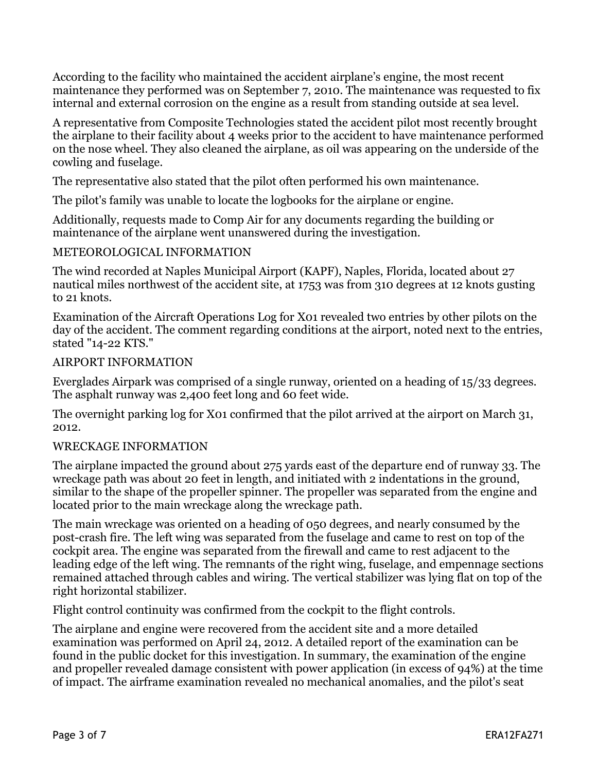According to the facility who maintained the accident airplane's engine, the most recent maintenance they performed was on September 7, 2010. The maintenance was requested to fix internal and external corrosion on the engine as a result from standing outside at sea level.

A representative from Composite Technologies stated the accident pilot most recently brought the airplane to their facility about 4 weeks prior to the accident to have maintenance performed on the nose wheel. They also cleaned the airplane, as oil was appearing on the underside of the cowling and fuselage.

The representative also stated that the pilot often performed his own maintenance.

The pilot's family was unable to locate the logbooks for the airplane or engine.

Additionally, requests made to Comp Air for any documents regarding the building or maintenance of the airplane went unanswered during the investigation.

#### METEOROLOGICAL INFORMATION

The wind recorded at Naples Municipal Airport (KAPF), Naples, Florida, located about 27 nautical miles northwest of the accident site, at 1753 was from 310 degrees at 12 knots gusting to 21 knots.

Examination of the Aircraft Operations Log for X01 revealed two entries by other pilots on the day of the accident. The comment regarding conditions at the airport, noted next to the entries, stated "14-22 KTS."

#### AIRPORT INFORMATION

Everglades Airpark was comprised of a single runway, oriented on a heading of 15/33 degrees. The asphalt runway was 2,400 feet long and 60 feet wide.

The overnight parking log for X01 confirmed that the pilot arrived at the airport on March 31, 2012.

### WRECKAGE INFORMATION

The airplane impacted the ground about 275 yards east of the departure end of runway 33. The wreckage path was about 20 feet in length, and initiated with 2 indentations in the ground, similar to the shape of the propeller spinner. The propeller was separated from the engine and located prior to the main wreckage along the wreckage path.

The main wreckage was oriented on a heading of 050 degrees, and nearly consumed by the post-crash fire. The left wing was separated from the fuselage and came to rest on top of the cockpit area. The engine was separated from the firewall and came to rest adjacent to the leading edge of the left wing. The remnants of the right wing, fuselage, and empennage sections remained attached through cables and wiring. The vertical stabilizer was lying flat on top of the right horizontal stabilizer.

Flight control continuity was confirmed from the cockpit to the flight controls.

The airplane and engine were recovered from the accident site and a more detailed examination was performed on April 24, 2012. A detailed report of the examination can be found in the public docket for this investigation. In summary, the examination of the engine and propeller revealed damage consistent with power application (in excess of 94%) at the time of impact. The airframe examination revealed no mechanical anomalies, and the pilot's seat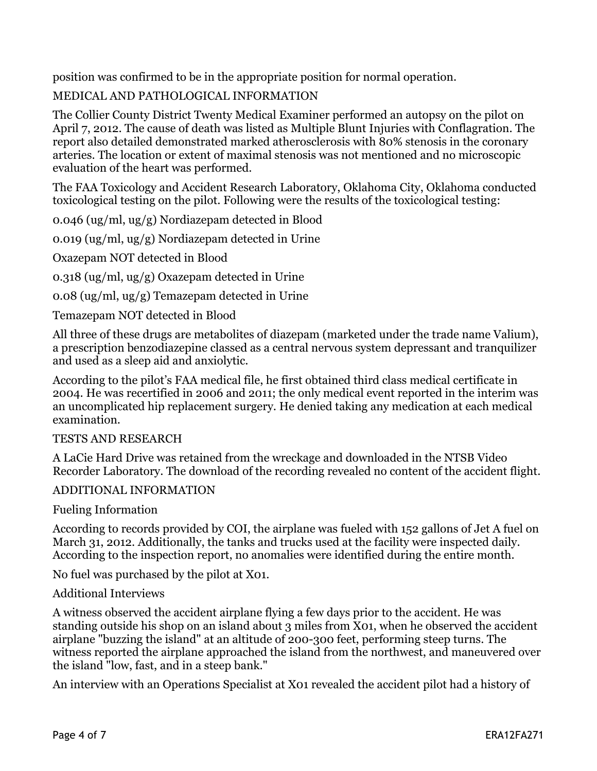position was confirmed to be in the appropriate position for normal operation.

### MEDICAL AND PATHOLOGICAL INFORMATION

The Collier County District Twenty Medical Examiner performed an autopsy on the pilot on April 7, 2012. The cause of death was listed as Multiple Blunt Injuries with Conflagration. The report also detailed demonstrated marked atherosclerosis with 80% stenosis in the coronary arteries. The location or extent of maximal stenosis was not mentioned and no microscopic evaluation of the heart was performed.

The FAA Toxicology and Accident Research Laboratory, Oklahoma City, Oklahoma conducted toxicological testing on the pilot. Following were the results of the toxicological testing:

0.046 (ug/ml, ug/g) Nordiazepam detected in Blood

0.019 (ug/ml, ug/g) Nordiazepam detected in Urine

Oxazepam NOT detected in Blood

0.318 (ug/ml, ug/g) Oxazepam detected in Urine

0.08 (ug/ml, ug/g) Temazepam detected in Urine

Temazepam NOT detected in Blood

All three of these drugs are metabolites of diazepam (marketed under the trade name Valium), a prescription benzodiazepine classed as a central nervous system depressant and tranquilizer and used as a sleep aid and anxiolytic.

According to the pilot's FAA medical file, he first obtained third class medical certificate in 2004. He was recertified in 2006 and 2011; the only medical event reported in the interim was an uncomplicated hip replacement surgery. He denied taking any medication at each medical examination.

#### TESTS AND RESEARCH

A LaCie Hard Drive was retained from the wreckage and downloaded in the NTSB Video Recorder Laboratory. The download of the recording revealed no content of the accident flight.

#### ADDITIONAL INFORMATION

Fueling Information

According to records provided by COI, the airplane was fueled with 152 gallons of Jet A fuel on March 31, 2012. Additionally, the tanks and trucks used at the facility were inspected daily. According to the inspection report, no anomalies were identified during the entire month.

No fuel was purchased by the pilot at X01.

#### Additional Interviews

A witness observed the accident airplane flying a few days prior to the accident. He was standing outside his shop on an island about 3 miles from X01, when he observed the accident airplane "buzzing the island" at an altitude of 200-300 feet, performing steep turns. The witness reported the airplane approached the island from the northwest, and maneuvered over the island "low, fast, and in a steep bank."

An interview with an Operations Specialist at X01 revealed the accident pilot had a history of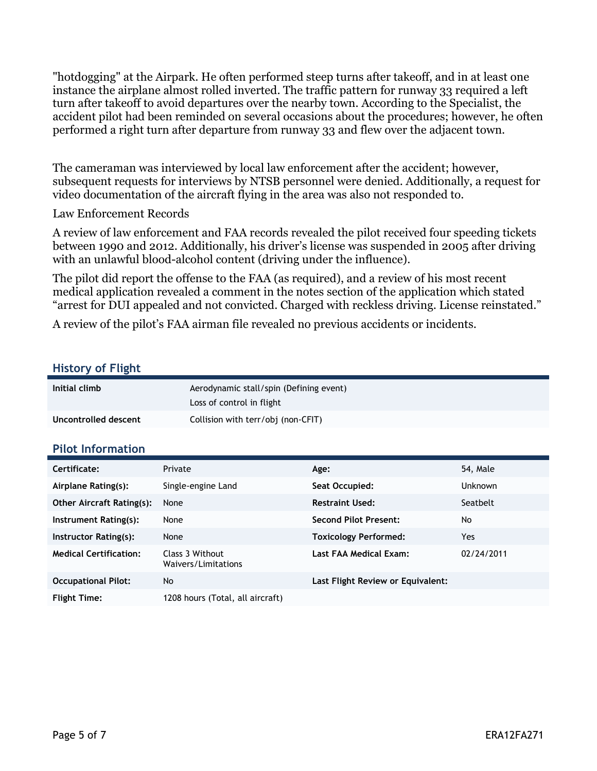"hotdogging" at the Airpark. He often performed steep turns after takeoff, and in at least one instance the airplane almost rolled inverted. The traffic pattern for runway 33 required a left turn after takeoff to avoid departures over the nearby town. According to the Specialist, the accident pilot had been reminded on several occasions about the procedures; however, he often performed a right turn after departure from runway 33 and flew over the adjacent town.

The cameraman was interviewed by local law enforcement after the accident; however, subsequent requests for interviews by NTSB personnel were denied. Additionally, a request for video documentation of the aircraft flying in the area was also not responded to.

Law Enforcement Records

A review of law enforcement and FAA records revealed the pilot received four speeding tickets between 1990 and 2012. Additionally, his driver's license was suspended in 2005 after driving with an unlawful blood-alcohol content (driving under the influence).

The pilot did report the offense to the FAA (as required), and a review of his most recent medical application revealed a comment in the notes section of the application which stated "arrest for DUI appealed and not convicted. Charged with reckless driving. License reinstated."

A review of the pilot's FAA airman file revealed no previous accidents or incidents.

#### **History of Flight**

| Initial climb        | Aerodynamic stall/spin (Defining event)<br>Loss of control in flight |
|----------------------|----------------------------------------------------------------------|
| Uncontrolled descent | Collision with terr/obj (non-CFIT)                                   |

#### **Pilot Information**

| Certificate:                     | Private                                | Age:                              | 54, Male       |
|----------------------------------|----------------------------------------|-----------------------------------|----------------|
| Airplane Rating(s):              | Single-engine Land                     | Seat Occupied:                    | <b>Unknown</b> |
| <b>Other Aircraft Rating(s):</b> | None                                   | <b>Restraint Used:</b>            | Seatbelt       |
| Instrument Rating(s):            | None                                   | <b>Second Pilot Present:</b>      | No             |
| Instructor Rating(s):            | None                                   | <b>Toxicology Performed:</b>      | Yes            |
| <b>Medical Certification:</b>    | Class 3 Without<br>Waivers/Limitations | Last FAA Medical Exam:            | 02/24/2011     |
| <b>Occupational Pilot:</b>       | No                                     | Last Flight Review or Equivalent: |                |
| <b>Flight Time:</b>              | 1208 hours (Total, all aircraft)       |                                   |                |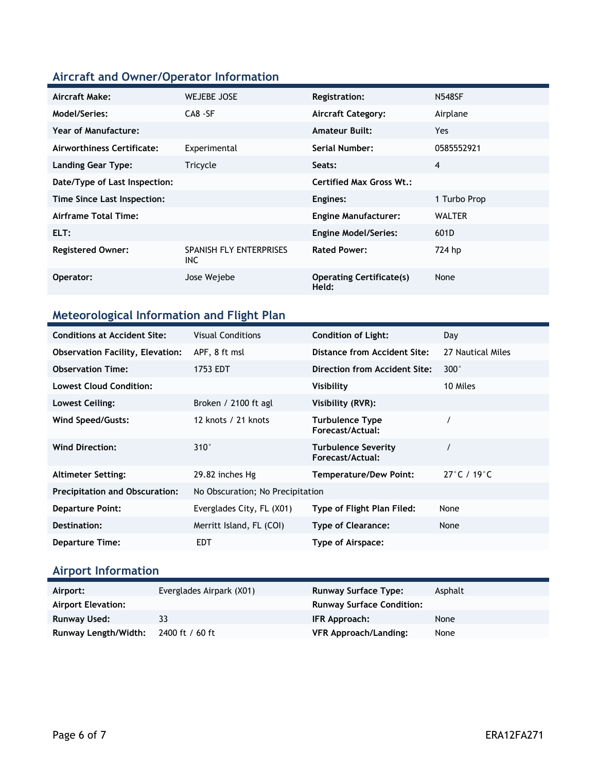### **Aircraft and Owner/Operator Information**

| Aircraft Make:                | <b>WEJEBE JOSE</b>              | <b>Registration:</b>                     | <b>N548SF</b> |
|-------------------------------|---------------------------------|------------------------------------------|---------------|
| Model/Series:                 | $CAB - SF$                      | <b>Aircraft Category:</b>                | Airplane      |
| Year of Manufacture:          |                                 | <b>Amateur Built:</b>                    | Yes.          |
| Airworthiness Certificate:    | Experimental                    | Serial Number:                           | 0585552921    |
| <b>Landing Gear Type:</b>     | Tricycle                        | Seats:                                   | 4             |
| Date/Type of Last Inspection: |                                 | <b>Certified Max Gross Wt.:</b>          |               |
| Time Since Last Inspection:   |                                 | Engines:                                 | 1 Turbo Prop  |
| Airframe Total Time:          |                                 | <b>Engine Manufacturer:</b>              | <b>WALTER</b> |
| ELT:                          |                                 | <b>Engine Model/Series:</b>              | 601D          |
| <b>Registered Owner:</b>      | SPANISH FLY ENTERPRISES<br>INC. | <b>Rated Power:</b>                      | 724 hp        |
| Operator:                     | Jose Wejebe                     | <b>Operating Certificate(s)</b><br>Held: | None          |

# **Meteorological Information and Flight Plan**

| <b>Conditions at Accident Site:</b>     | <b>Visual Conditions</b>         | <b>Condition of Light:</b>                     | Day                              |
|-----------------------------------------|----------------------------------|------------------------------------------------|----------------------------------|
| <b>Observation Facility, Elevation:</b> | APF, 8 ft msl                    | Distance from Accident Site:                   | 27 Nautical Miles                |
| <b>Observation Time:</b>                | 1753 EDT                         | Direction from Accident Site:                  | $300^{\circ}$                    |
| <b>Lowest Cloud Condition:</b>          |                                  | Visibility                                     | 10 Miles                         |
| Lowest Ceiling:                         | Broken / $2100$ ft agl           | Visibility (RVR):                              |                                  |
| Wind Speed/Gusts:                       | 12 knots / 21 knots              | <b>Turbulence Type</b><br>Forecast/Actual:     |                                  |
| <b>Wind Direction:</b>                  | $310^\circ$                      | <b>Turbulence Severity</b><br>Forecast/Actual: |                                  |
| <b>Altimeter Setting:</b>               | 29.82 inches Hg                  | <b>Temperature/Dew Point:</b>                  | $27^{\circ}$ C / 19 $^{\circ}$ C |
| <b>Precipitation and Obscuration:</b>   | No Obscuration; No Precipitation |                                                |                                  |
| <b>Departure Point:</b>                 | Everglades City, FL (X01)        | Type of Flight Plan Filed:                     | None                             |
| Destination:                            | Merritt Island, FL (COI)         | <b>Type of Clearance:</b>                      | None                             |
| <b>Departure Time:</b>                  | <b>EDT</b>                       | Type of Airspace:                              |                                  |

### **Airport Information**

| Airport:             | Everglades Airpark (X01) | <b>Runway Surface Type:</b>      | Asphalt |
|----------------------|--------------------------|----------------------------------|---------|
| Airport Elevation:   |                          | <b>Runway Surface Condition:</b> |         |
| Runway Used:         | २२                       | <b>IFR Approach:</b>             | None    |
| Runway Length/Width: | 2400 ft / 60 ft          | <b>VFR Approach/Landing:</b>     | None    |